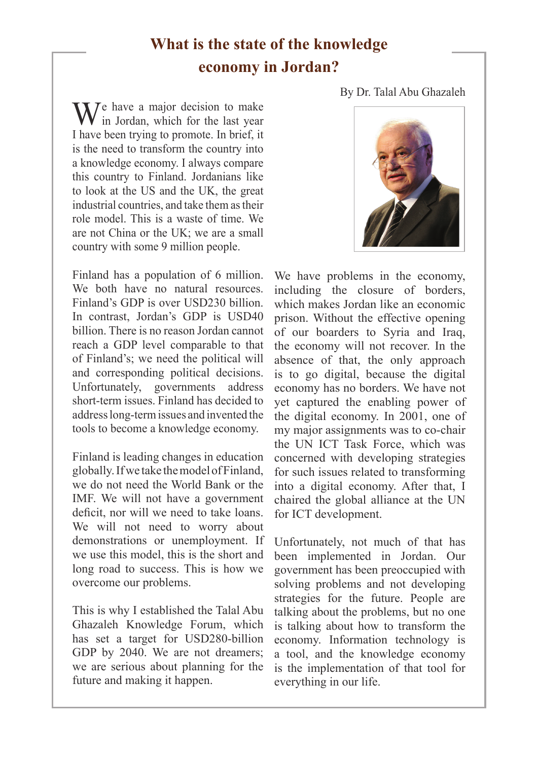## **What is the state of the knowledge economy in Jordan?**

## By Dr. Talal Abu Ghazaleh

 $\sum_{n=1}^{\infty} I_n$  have a major decision to make If in Jordan, which for the last year I have been trying to promote. In brief, it is the need to transform the country into a knowledge economy. I always compare this country to Finland. Jordanians like to look at the US and the UK, the great industrial countries, and take them as their role model. This is a waste of time. We are not China or the UK; we are a small country with some 9 million people.

Finland has a population of 6 million. We both have no natural resources. Finland's GDP is over USD230 billion. In contrast, Jordan's GDP is USD40 billion. There is no reason Jordan cannot reach a GDP level comparable to that of Finland's; we need the political will and corresponding political decisions. Unfortunately, governments address short-term issues. Finland has decided to address long-term issues and invented the tools to become a knowledge economy.

Finland is leading changes in education globally. If we take the model of Finland, we do not need the World Bank or the IMF. We will not have a government deficit, nor will we need to take loans. We will not need to worry about demonstrations or unemployment. If we use this model, this is the short and long road to success. This is how we overcome our problems.

This is why I established the Talal Abu Ghazaleh Knowledge Forum, which has set a target for USD280-billion GDP by 2040. We are not dreamers; we are serious about planning for the future and making it happen.



We have problems in the economy, including the closure of borders, which makes Jordan like an economic prison. Without the effective opening of our boarders to Syria and Iraq, the economy will not recover. In the absence of that, the only approach is to go digital, because the digital economy has no borders. We have not yet captured the enabling power of the digital economy. In 2001, one of my major assignments was to co-chair the UN ICT Task Force, which was concerned with developing strategies for such issues related to transforming into a digital economy. After that, I chaired the global alliance at the UN for ICT development.

Unfortunately, not much of that has been implemented in Jordan. Our government has been preoccupied with solving problems and not developing strategies for the future. People are talking about the problems, but no one is talking about how to transform the economy. Information technology is a tool, and the knowledge economy is the implementation of that tool for everything in our life.